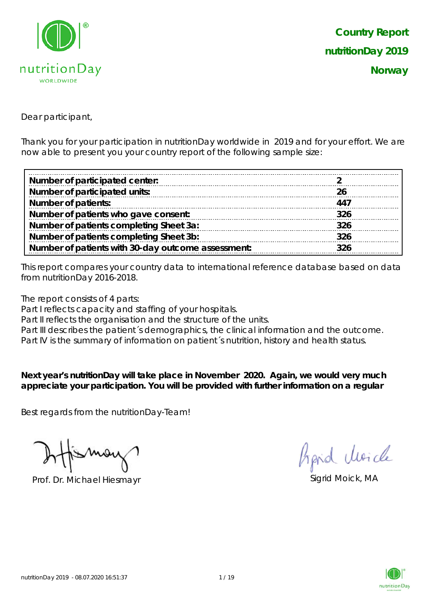

Dear participant,

Thank you for your participation in nutritionDay worldwide in 2019 and for your effort. We are now able to present you your country report of the following sample size:

| Number of participated center:                     |     |
|----------------------------------------------------|-----|
| Number of participated units:                      |     |
| <b>Number of patients:</b>                         | 447 |
| Number of patients who gave consent:               | 326 |
| Number of patients completing Sheet 3a:            | 326 |
| Number of patients completing Sheet 3b:            | 326 |
| Number of patients with 30-day outcome assessment: | 326 |

This report compares your country data to international reference database based on data from nutritionDay 2016-2018.

The report consists of 4 parts:

Part I reflects capacity and staffing of your hospitals.

Part II reflects the organisation and the structure of the units.

Part III describes the patient's demographics, the clinical information and the outcome.

Part IV is the summary of information on patient´s nutrition, history and health status.

**Next year's nutritionDay will take place in November 2020. Again, we would very much appreciate your participation. You will be provided with further information on a regular** 

Best regards from the nutritionDay-Team!

Prof. Dr. Michael Hiesmayr Sigrid Moick, MA

Aprid Moich

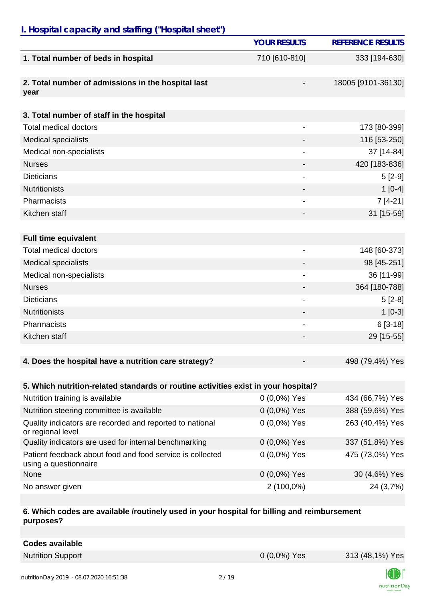# *I. Hospital capacity and staffing ("Hospital sheet")*

|                                                                                    | <b>YOUR RESULTS</b> | <b>REFERENCE RESULTS</b> |
|------------------------------------------------------------------------------------|---------------------|--------------------------|
| 1. Total number of beds in hospital                                                | 710 [610-810]       | 333 [194-630]            |
| 2. Total number of admissions in the hospital last<br>year                         |                     | 18005 [9101-36130]       |
| 3. Total number of staff in the hospital                                           |                     |                          |
| <b>Total medical doctors</b>                                                       |                     | 173 [80-399]             |
| <b>Medical specialists</b>                                                         |                     | 116 [53-250]             |
| Medical non-specialists                                                            | $\overline{a}$      | 37 [14-84]               |
| <b>Nurses</b>                                                                      |                     | 420 [183-836]            |
| <b>Dieticians</b>                                                                  |                     | $5[2-9]$                 |
| <b>Nutritionists</b>                                                               |                     | $1[0-4]$                 |
| Pharmacists                                                                        |                     | $7[4-21]$                |
| Kitchen staff                                                                      |                     | 31 [15-59]               |
|                                                                                    |                     |                          |
| <b>Full time equivalent</b>                                                        |                     |                          |
| <b>Total medical doctors</b>                                                       | -                   | 148 [60-373]             |
| <b>Medical specialists</b>                                                         |                     | 98 [45-251]              |
| Medical non-specialists                                                            | $\overline{a}$      | 36 [11-99]               |
| <b>Nurses</b>                                                                      |                     | 364 [180-788]            |
| <b>Dieticians</b>                                                                  |                     | $5[2-8]$                 |
| <b>Nutritionists</b>                                                               |                     | $1[0-3]$                 |
| Pharmacists                                                                        |                     | $6[3-18]$                |
| Kitchen staff                                                                      |                     | 29 [15-55]               |
|                                                                                    |                     |                          |
| 4. Does the hospital have a nutrition care strategy?                               |                     | 498 (79,4%) Yes          |
|                                                                                    |                     |                          |
| 5. Which nutrition-related standards or routine activities exist in your hospital? |                     |                          |
| Nutrition training is available                                                    | $0(0,0\%)$ Yes      | 434 (66,7%) Yes          |
| Nutrition steering committee is available                                          | $0(0,0\%)$ Yes      | 388 (59,6%) Yes          |
| Quality indicators are recorded and reported to national<br>or regional level      | $0(0,0\%)$ Yes      | 263 (40,4%) Yes          |
| Quality indicators are used for internal benchmarking                              | $0(0,0\%)$ Yes      | 337 (51,8%) Yes          |
| Patient feedback about food and food service is collected<br>using a questionnaire | $0(0,0\%)$ Yes      | 475 (73,0%) Yes          |
| None                                                                               | $0(0,0\%)$ Yes      | 30 (4,6%) Yes            |
| No answer given                                                                    | 2 (100,0%)          | 24 (3,7%)                |

#### **6. Which codes are available /routinely used in your hospital for billing and reimbursement purposes?**

**Codes available** Nutrition Support 0 (0,0%) Yes 313 (48,1%) Yes

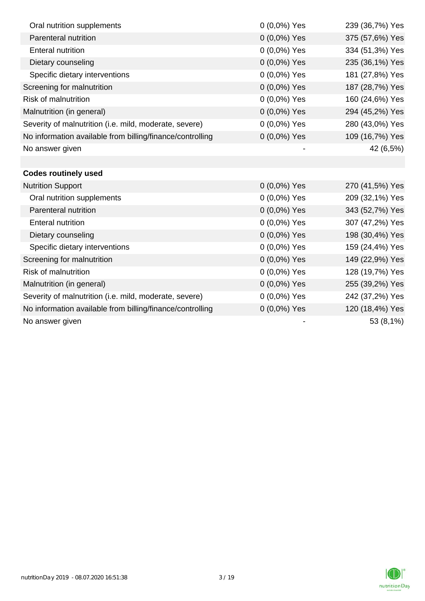| Oral nutrition supplements                                | 0 (0,0%) Yes   | 239 (36,7%) Yes |
|-----------------------------------------------------------|----------------|-----------------|
| Parenteral nutrition                                      | 0 (0,0%) Yes   | 375 (57,6%) Yes |
| <b>Enteral nutrition</b>                                  | 0 (0,0%) Yes   | 334 (51,3%) Yes |
| Dietary counseling                                        | 0 (0,0%) Yes   | 235 (36,1%) Yes |
| Specific dietary interventions                            | 0 (0,0%) Yes   | 181 (27,8%) Yes |
| Screening for malnutrition                                | 0 (0,0%) Yes   | 187 (28,7%) Yes |
| <b>Risk of malnutrition</b>                               | 0 (0,0%) Yes   | 160 (24,6%) Yes |
| Malnutrition (in general)                                 | 0 (0,0%) Yes   | 294 (45,2%) Yes |
| Severity of malnutrition (i.e. mild, moderate, severe)    | 0 (0,0%) Yes   | 280 (43,0%) Yes |
| No information available from billing/finance/controlling | $0(0,0\%)$ Yes | 109 (16,7%) Yes |
| No answer given                                           |                | 42 (6,5%)       |
|                                                           |                |                 |
| <b>Codes routinely used</b>                               |                |                 |
| <b>Nutrition Support</b>                                  | 0 (0,0%) Yes   | 270 (41,5%) Yes |
| Oral nutrition supplements                                | 0 (0,0%) Yes   | 209 (32,1%) Yes |
| Parenteral nutrition                                      | 0 (0,0%) Yes   | 343 (52,7%) Yes |
| <b>Enteral nutrition</b>                                  | 0 (0,0%) Yes   | 307 (47,2%) Yes |
| Dietary counseling                                        | 0 (0,0%) Yes   | 198 (30,4%) Yes |
| Specific dietary interventions                            | 0 (0,0%) Yes   | 159 (24,4%) Yes |
| Screening for malnutrition                                | 0 (0,0%) Yes   | 149 (22,9%) Yes |
| <b>Risk of malnutrition</b>                               | $0(0,0\%)$ Yes | 128 (19,7%) Yes |
| Malnutrition (in general)                                 | 0 (0,0%) Yes   | 255 (39,2%) Yes |
| Severity of malnutrition (i.e. mild, moderate, severe)    | 0 (0,0%) Yes   | 242 (37,2%) Yes |
| No information available from billing/finance/controlling | $0(0,0\%)$ Yes | 120 (18,4%) Yes |
| No answer given                                           |                | 53 (8,1%)       |

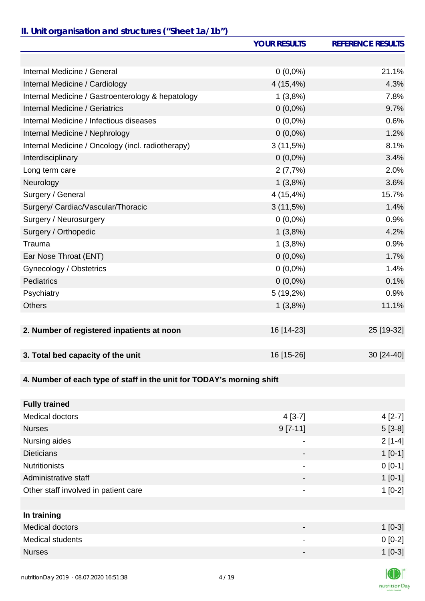## *II. Unit organisation and structures ("Sheet 1a/1b")*

|                                                   | <b>YOUR RESULTS</b> | <b>REFERENCE RESULTS</b> |
|---------------------------------------------------|---------------------|--------------------------|
|                                                   |                     |                          |
| Internal Medicine / General                       | $0(0,0\%)$          | 21.1%                    |
| Internal Medicine / Cardiology                    | 4(15,4%)            | 4.3%                     |
| Internal Medicine / Gastroenterology & hepatology | 1(3,8%)             | 7.8%                     |
| <b>Internal Medicine / Geriatrics</b>             | $0(0,0\%)$          | 9.7%                     |
| Internal Medicine / Infectious diseases           | $0(0,0\%)$          | 0.6%                     |
| Internal Medicine / Nephrology                    | $0(0,0\%)$          | 1.2%                     |
| Internal Medicine / Oncology (incl. radiotherapy) | 3(11,5%)            | 8.1%                     |
| Interdisciplinary                                 | $0(0,0\%)$          | 3.4%                     |
| Long term care                                    | 2(7,7%)             | 2.0%                     |
| Neurology                                         | 1(3,8%)             | 3.6%                     |
| Surgery / General                                 | 4(15,4%)            | 15.7%                    |
| Surgery/ Cardiac/Vascular/Thoracic                | 3(11,5%)            | 1.4%                     |
| Surgery / Neurosurgery                            | $0(0,0\%)$          | 0.9%                     |
| Surgery / Orthopedic                              | 1(3,8%)             | 4.2%                     |
| Trauma                                            | 1(3,8%)             | 0.9%                     |
| Ear Nose Throat (ENT)                             | $0(0,0\%)$          | 1.7%                     |
| Gynecology / Obstetrics                           | $0(0,0\%)$          | 1.4%                     |
| Pediatrics                                        | $0(0,0\%)$          | 0.1%                     |
| Psychiatry                                        | 5(19,2%)            | 0.9%                     |
| <b>Others</b>                                     | 1(3,8%)             | 11.1%                    |
|                                                   |                     |                          |
| 2. Number of registered inpatients at noon        | 16 [14-23]          | 25 [19-32]               |
|                                                   |                     |                          |
| 3. Total bed capacity of the unit                 | 16 [15-26]          | 30 [24-40]               |
|                                                   |                     |                          |

## **4. Number of each type of staff in the unit for TODAY's morning shift**

| <b>Fully trained</b>                 |                          |          |
|--------------------------------------|--------------------------|----------|
| Medical doctors                      | $4[3-7]$                 | $4[2-7]$ |
| <b>Nurses</b>                        | $9[7-11]$                | $5[3-8]$ |
| Nursing aides                        | $\overline{\phantom{a}}$ | $2[1-4]$ |
| <b>Dieticians</b>                    |                          | $1[0-1]$ |
| <b>Nutritionists</b>                 | $\overline{\phantom{a}}$ | $0[0-1]$ |
| Administrative staff                 | $\overline{\phantom{a}}$ | $1[0-1]$ |
| Other staff involved in patient care | $\overline{\phantom{a}}$ | $1[0-2]$ |
|                                      |                          |          |
| In training                          |                          |          |
| <b>Medical doctors</b>               |                          | $1[0-3]$ |
| <b>Medical students</b>              | $\overline{\phantom{a}}$ | $0[0-2]$ |
| <b>Nurses</b>                        | -                        | $1[0-3]$ |
|                                      |                          |          |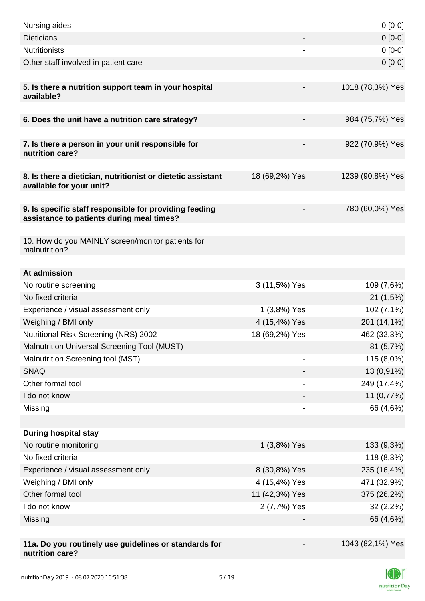| Nursing aides                                                                                       |                | $0[0-0]$         |
|-----------------------------------------------------------------------------------------------------|----------------|------------------|
| <b>Dieticians</b>                                                                                   |                | $0 [0-0]$        |
| <b>Nutritionists</b>                                                                                |                | $0[0-0]$         |
| Other staff involved in patient care                                                                |                | $0 [0-0]$        |
|                                                                                                     |                |                  |
| 5. Is there a nutrition support team in your hospital<br>available?                                 |                | 1018 (78,3%) Yes |
| 6. Does the unit have a nutrition care strategy?                                                    |                | 984 (75,7%) Yes  |
| 7. Is there a person in your unit responsible for<br>nutrition care?                                |                | 922 (70,9%) Yes  |
| 8. Is there a dietician, nutritionist or dietetic assistant<br>available for your unit?             | 18 (69,2%) Yes | 1239 (90,8%) Yes |
|                                                                                                     |                |                  |
| 9. Is specific staff responsible for providing feeding<br>assistance to patients during meal times? |                | 780 (60,0%) Yes  |
|                                                                                                     |                |                  |
| 10. How do you MAINLY screen/monitor patients for<br>malnutrition?                                  |                |                  |
| At admission                                                                                        |                |                  |
| No routine screening                                                                                | 3 (11,5%) Yes  | 109 (7,6%)       |
| No fixed criteria                                                                                   |                | 21 (1,5%)        |
| Experience / visual assessment only                                                                 | 1 (3,8%) Yes   | 102(7,1%)        |
| Weighing / BMI only                                                                                 | 4 (15,4%) Yes  | 201 (14,1%)      |
| <b>Nutritional Risk Screening (NRS) 2002</b>                                                        | 18 (69,2%) Yes | 462 (32,3%)      |
| Malnutrition Universal Screening Tool (MUST)                                                        |                | 81 (5,7%)        |
| Malnutrition Screening tool (MST)                                                                   |                | 115 (8,0%)       |
| <b>SNAQ</b>                                                                                         |                | 13 (0,91%)       |
| Other formal tool                                                                                   |                | 249 (17,4%)      |
| I do not know                                                                                       |                | 11 (0,77%)       |
| Missing                                                                                             |                | 66 (4,6%)        |
|                                                                                                     |                |                  |
| <b>During hospital stay</b>                                                                         |                |                  |
| No routine monitoring                                                                               | 1 (3,8%) Yes   | 133 (9,3%)       |
| No fixed criteria                                                                                   |                | 118 (8,3%)       |
| Experience / visual assessment only                                                                 | 8 (30,8%) Yes  | 235 (16,4%)      |
| Weighing / BMI only                                                                                 | 4 (15,4%) Yes  | 471 (32,9%)      |
| Other formal tool                                                                                   | 11 (42,3%) Yes | 375 (26,2%)      |
| I do not know                                                                                       | 2 (7,7%) Yes   | 32(2,2%)         |
| Missing                                                                                             |                | 66 (4,6%)        |
|                                                                                                     |                |                  |
| 11a. Do you routinely use guidelines or standards for<br>nutrition care?                            |                | 1043 (82,1%) Yes |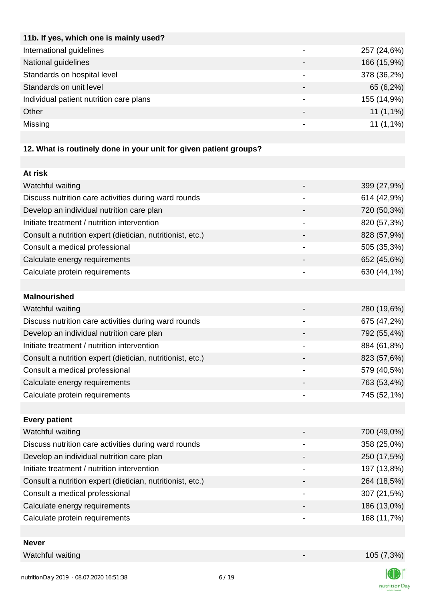| 11b. If yes, which one is mainly used?                            |             |
|-------------------------------------------------------------------|-------------|
| International guidelines                                          | 257 (24,6%) |
| National guidelines                                               | 166 (15,9%) |
| Standards on hospital level                                       | 378 (36,2%) |
| Standards on unit level                                           | 65 (6,2%)   |
| Individual patient nutrition care plans                           | 155 (14,9%) |
| Other                                                             | $11(1,1\%)$ |
| Missing                                                           | $11(1,1\%)$ |
|                                                                   |             |
| 12. What is routinely done in your unit for given patient groups? |             |
|                                                                   |             |

| Watchful waiting                                           |                          | 399 (27,9%) |
|------------------------------------------------------------|--------------------------|-------------|
| Discuss nutrition care activities during ward rounds       | $\overline{\phantom{0}}$ | 614 (42,9%) |
| Develop an individual nutrition care plan                  |                          | 720 (50,3%) |
| Initiate treatment / nutrition intervention                |                          | 820 (57,3%) |
| Consult a nutrition expert (dietician, nutritionist, etc.) |                          | 828 (57,9%) |
| Consult a medical professional                             |                          | 505 (35,3%) |
| Calculate energy requirements                              |                          | 652 (45,6%) |
| Calculate protein requirements                             |                          | 630 (44,1%) |
|                                                            |                          |             |

| Watchful waiting                                           | 280 (19,6%) |
|------------------------------------------------------------|-------------|
| Discuss nutrition care activities during ward rounds       | 675 (47,2%) |
| Develop an individual nutrition care plan                  | 792 (55,4%) |
| Initiate treatment / nutrition intervention                | 884 (61,8%) |
| Consult a nutrition expert (dietician, nutritionist, etc.) | 823 (57,6%) |
| Consult a medical professional                             | 579 (40,5%) |
| Calculate energy requirements                              | 763 (53,4%) |
| Calculate protein requirements                             | 745 (52,1%) |
|                                                            |             |

| <b>Every patient</b>                                       |             |
|------------------------------------------------------------|-------------|
| Watchful waiting                                           | 700 (49,0%) |
| Discuss nutrition care activities during ward rounds       | 358 (25,0%) |
| Develop an individual nutrition care plan                  | 250 (17,5%) |
| Initiate treatment / nutrition intervention                | 197 (13,8%) |
| Consult a nutrition expert (dietician, nutritionist, etc.) | 264 (18,5%) |
| Consult a medical professional                             | 307 (21,5%) |
| Calculate energy requirements                              | 186 (13,0%) |
| Calculate protein requirements                             | 168 (11,7%) |
|                                                            |             |

| <b>Never</b>   |  |
|----------------|--|
| ilew Indata Na |  |

**At risk**

**Malnourished**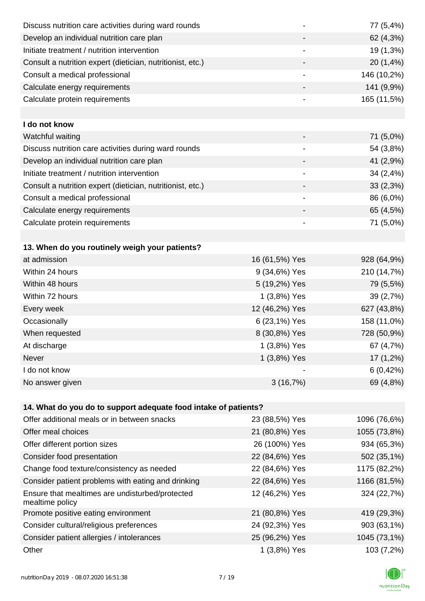| Discuss nutrition care activities during ward rounds               |                | 77 (5,4%)    |
|--------------------------------------------------------------------|----------------|--------------|
| Develop an individual nutrition care plan                          |                | 62 (4,3%)    |
| Initiate treatment / nutrition intervention                        | -              | 19 (1,3%)    |
| Consult a nutrition expert (dietician, nutritionist, etc.)         | -              | 20(1,4%)     |
| Consult a medical professional                                     | -              | 146 (10,2%)  |
| Calculate energy requirements                                      | -              | 141 (9,9%)   |
| Calculate protein requirements                                     |                | 165 (11,5%)  |
|                                                                    |                |              |
| I do not know                                                      |                |              |
| Watchful waiting                                                   |                | 71 (5,0%)    |
| Discuss nutrition care activities during ward rounds               | -              | 54 (3,8%)    |
| Develop an individual nutrition care plan                          |                | 41 (2,9%)    |
| Initiate treatment / nutrition intervention                        | -              | 34(2,4%)     |
| Consult a nutrition expert (dietician, nutritionist, etc.)         | -              | 33(2,3%)     |
| Consult a medical professional                                     |                | 86 (6,0%)    |
| Calculate energy requirements                                      |                | 65 (4,5%)    |
| Calculate protein requirements                                     |                | 71 (5,0%)    |
|                                                                    |                |              |
| 13. When do you routinely weigh your patients?                     |                |              |
| at admission                                                       | 16 (61,5%) Yes | 928 (64,9%)  |
| Within 24 hours                                                    | 9 (34,6%) Yes  | 210 (14,7%)  |
| Within 48 hours                                                    | 5 (19,2%) Yes  | 79 (5,5%)    |
| Within 72 hours                                                    | 1 (3,8%) Yes   | 39 (2,7%)    |
| Every week                                                         | 12 (46,2%) Yes | 627 (43,8%)  |
| Occasionally                                                       | 6 (23,1%) Yes  | 158 (11,0%)  |
| When requested                                                     | 8 (30,8%) Yes  | 728 (50,9%)  |
| At discharge                                                       | 1 (3,8%) Yes   | 67 (4,7%)    |
| Never                                                              | 1 (3,8%) Yes   | $17(1,2\%)$  |
| I do not know                                                      |                | 6(0,42%)     |
| No answer given                                                    | 3(16,7%)       | 69 (4,8%)    |
|                                                                    |                |              |
| 14. What do you do to support adequate food intake of patients?    |                |              |
| Offer additional meals or in between snacks                        | 23 (88,5%) Yes | 1096 (76,6%) |
| Offer meal choices                                                 | 21 (80,8%) Yes | 1055 (73,8%) |
| Offer different portion sizes                                      | 26 (100%) Yes  | 934 (65,3%)  |
| Consider food presentation                                         | 22 (84,6%) Yes | 502 (35,1%)  |
| Change food texture/consistency as needed                          | 22 (84,6%) Yes | 1175 (82,2%) |
| Consider patient problems with eating and drinking                 | 22 (84,6%) Yes | 1166 (81,5%) |
| Ensure that mealtimes are undisturbed/protected<br>mealtime policy | 12 (46,2%) Yes | 324 (22,7%)  |
| Promote positive eating environment                                | 21 (80,8%) Yes | 419 (29,3%)  |
| Consider cultural/religious preferences                            | 24 (92,3%) Yes | 903 (63,1%)  |
| Consider patient allergies / intolerances                          | 25 (96,2%) Yes | 1045 (73,1%) |
| Other                                                              | 1 (3,8%) Yes   | 103 (7,2%)   |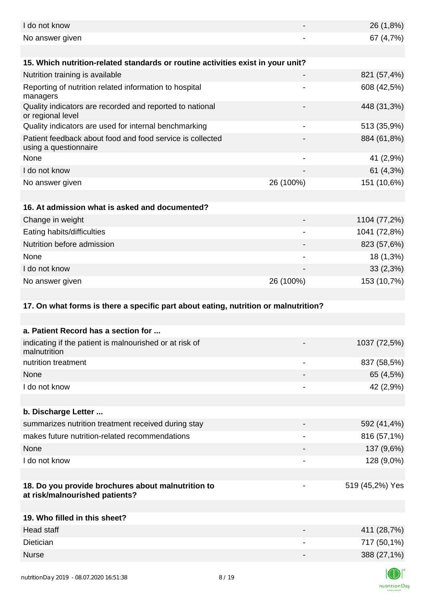| I do not know                                                                        |                | 26 (1,8%)                 |
|--------------------------------------------------------------------------------------|----------------|---------------------------|
| No answer given                                                                      |                | 67 (4,7%)                 |
|                                                                                      |                |                           |
| 15. Which nutrition-related standards or routine activities exist in your unit?      |                |                           |
| Nutrition training is available                                                      |                | 821 (57,4%)               |
| Reporting of nutrition related information to hospital<br>managers                   |                | 608 (42,5%)               |
| Quality indicators are recorded and reported to national<br>or regional level        |                | 448 (31,3%)               |
| Quality indicators are used for internal benchmarking                                |                | 513 (35,9%)               |
| Patient feedback about food and food service is collected<br>using a questionnaire   |                | 884 (61,8%)               |
| None                                                                                 | $\overline{a}$ | 41 (2,9%)                 |
| I do not know                                                                        |                | 61 (4,3%)                 |
| No answer given                                                                      | 26 (100%)      | 151 (10,6%)               |
|                                                                                      |                |                           |
| 16. At admission what is asked and documented?                                       |                |                           |
| Change in weight                                                                     |                | 1104 (77,2%)              |
| Eating habits/difficulties                                                           |                | 1041 (72,8%)              |
| Nutrition before admission                                                           |                | 823 (57,6%)               |
| None                                                                                 |                | 18 (1,3%)                 |
| I do not know                                                                        |                | 33(2,3%)                  |
| No answer given                                                                      | 26 (100%)      | 153 (10,7%)               |
|                                                                                      |                |                           |
| 17. On what forms is there a specific part about eating, nutrition or malnutrition?  |                |                           |
|                                                                                      |                |                           |
| a. Patient Record has a section for                                                  |                |                           |
| indicating if the patient is malnourished or at risk of<br>malnutrition              |                | 1037 (72,5%)              |
| nutrition treatment                                                                  | -              | 837 (58,5%)               |
| None                                                                                 |                | 65 (4,5%)                 |
| I do not know                                                                        |                |                           |
|                                                                                      |                | 42 (2,9%)                 |
|                                                                                      |                |                           |
| b. Discharge Letter                                                                  |                |                           |
| summarizes nutrition treatment received during stay                                  |                | 592 (41,4%)               |
| makes future nutrition-related recommendations                                       |                | 816 (57,1%)               |
| None                                                                                 |                | 137 (9,6%)                |
| I do not know                                                                        | -              | 128 (9,0%)                |
| 18. Do you provide brochures about malnutrition to<br>at risk/malnourished patients? |                | 519 (45,2%) Yes           |
|                                                                                      |                |                           |
| 19. Who filled in this sheet?                                                        |                |                           |
| <b>Head staff</b>                                                                    |                | 411 (28,7%)               |
| <b>Dietician</b>                                                                     |                | 717 (50,1%)               |
| <b>Nurse</b>                                                                         |                | 388 (27,1%)<br>$\sqrt{2}$ |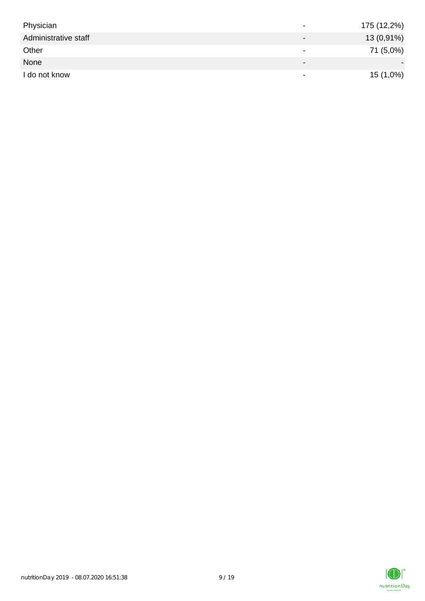| Physician            | $\,$                         | 175 (12,2%) |
|----------------------|------------------------------|-------------|
| Administrative staff | $\qquad \qquad \blacksquare$ | 13 (0,91%)  |
| Other                | $\,$                         | 71 (5,0%)   |
| None                 | $\overline{\phantom{0}}$     |             |
| I do not know        | $\,$                         | 15 (1,0%)   |

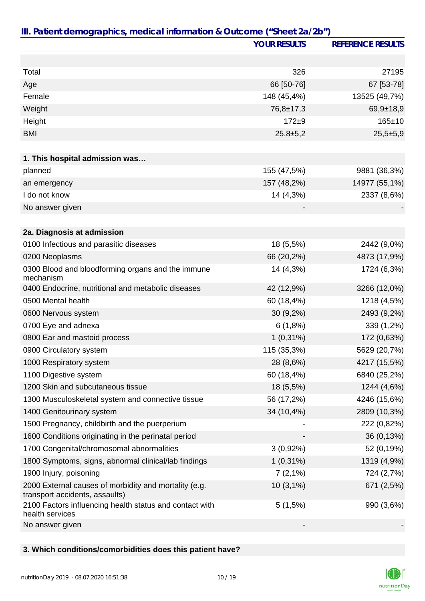|                                                                                         | <b>YOUR RESULTS</b> | <b>REFERENCE RESULTS</b> |
|-----------------------------------------------------------------------------------------|---------------------|--------------------------|
|                                                                                         |                     |                          |
| Total                                                                                   | 326                 | 27195                    |
| Age                                                                                     | 66 [50-76]          | 67 [53-78]               |
| Female                                                                                  | 148 (45,4%)         | 13525 (49,7%)            |
| Weight                                                                                  | $76,8 \pm 17,3$     | $69,9+18,9$              |
| Height                                                                                  | $172 + 9$           | $165 \pm 10$             |
| <b>BMI</b>                                                                              | $25,8+5,2$          | $25,5+5,9$               |
|                                                                                         |                     |                          |
| 1. This hospital admission was                                                          |                     |                          |
| planned                                                                                 | 155 (47,5%)         | 9881 (36,3%)             |
| an emergency                                                                            | 157 (48,2%)         | 14977 (55,1%)            |
| I do not know                                                                           | 14 (4,3%)           | 2337 (8,6%)              |
| No answer given                                                                         |                     |                          |
|                                                                                         |                     |                          |
| 2a. Diagnosis at admission                                                              |                     |                          |
| 0100 Infectious and parasitic diseases                                                  | 18 (5,5%)           | 2442 (9,0%)              |
| 0200 Neoplasms                                                                          | 66 (20,2%)          | 4873 (17,9%)             |
| 0300 Blood and bloodforming organs and the immune<br>mechanism                          | 14 (4,3%)           | 1724 (6,3%)              |
| 0400 Endocrine, nutritional and metabolic diseases                                      | 42 (12,9%)          | 3266 (12,0%)             |
| 0500 Mental health                                                                      | 60 (18,4%)          | 1218 (4,5%)              |
| 0600 Nervous system                                                                     | 30 (9,2%)           | 2493 (9,2%)              |
| 0700 Eye and adnexa                                                                     | 6(1,8%)             | 339 (1,2%)               |
| 0800 Ear and mastoid process                                                            | $1(0,31\%)$         | 172 (0,63%)              |
| 0900 Circulatory system                                                                 | 115 (35,3%)         | 5629 (20,7%)             |
| 1000 Respiratory system                                                                 | 28 (8,6%)           | 4217 (15,5%)             |
| 1100 Digestive system                                                                   | 60 (18,4%)          | 6840 (25,2%)             |
| 1200 Skin and subcutaneous tissue                                                       | 18 (5,5%)           | 1244 (4,6%)              |
| 1300 Musculoskeletal system and connective tissue                                       | 56 (17,2%)          | 4246 (15,6%)             |
| 1400 Genitourinary system                                                               | 34 (10,4%)          | 2809 (10,3%)             |
| 1500 Pregnancy, childbirth and the puerperium                                           |                     | 222 (0,82%)              |
| 1600 Conditions originating in the perinatal period                                     |                     | 36 (0,13%)               |
| 1700 Congenital/chromosomal abnormalities                                               | $3(0,92\%)$         | 52 (0,19%)               |
| 1800 Symptoms, signs, abnormal clinical/lab findings                                    | $1(0,31\%)$         | 1319 (4,9%)              |
| 1900 Injury, poisoning                                                                  | 7(2,1%)             | 724 (2,7%)               |
| 2000 External causes of morbidity and mortality (e.g.<br>transport accidents, assaults) | $10(3,1\%)$         | 671 (2,5%)               |
| 2100 Factors influencing health status and contact with<br>health services              | $5(1,5\%)$          | 990 (3,6%)               |
| No answer given                                                                         |                     |                          |

## **3. Which conditions/comorbidities does this patient have?**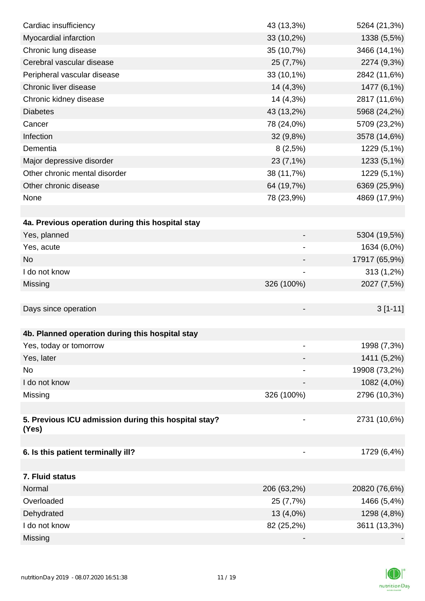| Cardiac insufficiency                                         | 43 (13,3%)               | 5264 (21,3%)  |
|---------------------------------------------------------------|--------------------------|---------------|
| Myocardial infarction                                         | 33 (10,2%)               | 1338 (5,5%)   |
| Chronic lung disease                                          | 35 (10,7%)               | 3466 (14,1%)  |
| Cerebral vascular disease                                     | 25 (7,7%)                | 2274 (9,3%)   |
| Peripheral vascular disease                                   | 33 (10,1%)               | 2842 (11,6%)  |
| Chronic liver disease                                         | 14 (4,3%)                | 1477 (6,1%)   |
| Chronic kidney disease                                        | 14 (4,3%)                | 2817 (11,6%)  |
| <b>Diabetes</b>                                               | 43 (13,2%)               | 5968 (24,2%)  |
| Cancer                                                        | 78 (24,0%)               | 5709 (23,2%)  |
| Infection                                                     | 32(9,8%)                 | 3578 (14,6%)  |
| Dementia                                                      | 8(2,5%)                  | 1229 (5,1%)   |
| Major depressive disorder                                     | 23 (7,1%)                | 1233 (5,1%)   |
| Other chronic mental disorder                                 | 38 (11,7%)               | 1229 (5,1%)   |
| Other chronic disease                                         | 64 (19,7%)               | 6369 (25,9%)  |
| None                                                          | 78 (23,9%)               | 4869 (17,9%)  |
|                                                               |                          |               |
| 4a. Previous operation during this hospital stay              |                          |               |
| Yes, planned                                                  | -                        | 5304 (19,5%)  |
| Yes, acute                                                    |                          | 1634 (6,0%)   |
| <b>No</b>                                                     |                          | 17917 (65,9%) |
| I do not know                                                 |                          | 313 (1,2%)    |
| Missing                                                       | 326 (100%)               | 2027 (7,5%)   |
|                                                               |                          |               |
| Days since operation                                          |                          | $3[1-11]$     |
|                                                               |                          |               |
| 4b. Planned operation during this hospital stay               |                          |               |
| Yes, today or tomorrow                                        |                          | 1998 (7,3%)   |
| Yes, later                                                    |                          | 1411 (5,2%)   |
| No                                                            |                          | 19908 (73,2%) |
| I do not know                                                 |                          | 1082 (4,0%)   |
| Missing                                                       | 326 (100%)               | 2796 (10,3%)  |
|                                                               |                          |               |
| 5. Previous ICU admission during this hospital stay?<br>(Yes) | $\overline{\phantom{a}}$ | 2731 (10,6%)  |
|                                                               |                          |               |
| 6. Is this patient terminally ill?                            |                          | 1729 (6,4%)   |
|                                                               |                          |               |
| 7. Fluid status                                               |                          |               |
| Normal                                                        | 206 (63,2%)              | 20820 (76,6%) |
| Overloaded                                                    | 25 (7,7%)                | 1466 (5,4%)   |
| Dehydrated                                                    | 13 (4,0%)                | 1298 (4,8%)   |
| I do not know                                                 | 82 (25,2%)               | 3611 (13,3%)  |
| Missing                                                       |                          |               |

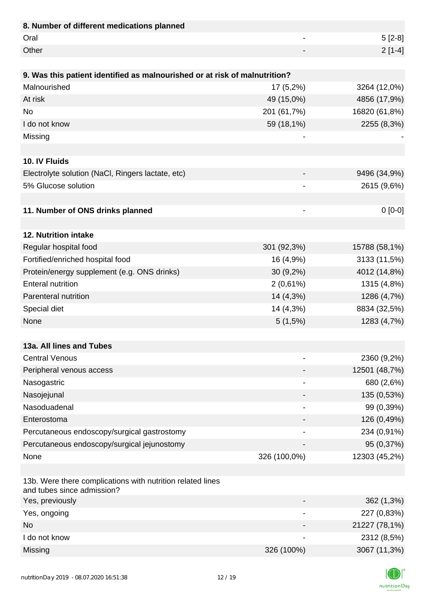| 8. Number of different medications planned                                               |                |               |
|------------------------------------------------------------------------------------------|----------------|---------------|
| Oral                                                                                     | $\overline{a}$ | $5[2-8]$      |
| Other                                                                                    |                | $2[1-4]$      |
|                                                                                          |                |               |
| 9. Was this patient identified as malnourished or at risk of malnutrition?               |                |               |
| Malnourished                                                                             | $17(5,2\%)$    | 3264 (12,0%)  |
| At risk                                                                                  | 49 (15,0%)     | 4856 (17,9%)  |
| <b>No</b>                                                                                | 201 (61,7%)    | 16820 (61,8%) |
| I do not know                                                                            | 59 (18,1%)     | 2255 (8,3%)   |
| Missing                                                                                  |                |               |
|                                                                                          |                |               |
| 10. IV Fluids                                                                            |                |               |
| Electrolyte solution (NaCl, Ringers lactate, etc)                                        |                | 9496 (34,9%)  |
| 5% Glucose solution                                                                      |                | 2615 (9,6%)   |
|                                                                                          |                |               |
| 11. Number of ONS drinks planned                                                         | -              | $0[0-0]$      |
|                                                                                          |                |               |
| 12. Nutrition intake                                                                     |                |               |
| Regular hospital food                                                                    | 301 (92,3%)    | 15788 (58,1%) |
| Fortified/enriched hospital food                                                         | 16 (4,9%)      | 3133 (11,5%)  |
| Protein/energy supplement (e.g. ONS drinks)                                              | $30(9,2\%)$    | 4012 (14,8%)  |
| <b>Enteral nutrition</b>                                                                 | $2(0,61\%)$    | 1315 (4,8%)   |
| Parenteral nutrition                                                                     | 14 (4,3%)      | 1286 (4,7%)   |
| Special diet                                                                             | 14 (4,3%)      | 8834 (32,5%)  |
| None                                                                                     | 5(1,5%)        | 1283 (4,7%)   |
|                                                                                          |                |               |
| 13a. All lines and Tubes                                                                 |                |               |
| <b>Central Venous</b>                                                                    |                | 2360 (9,2%)   |
| Peripheral venous access                                                                 |                | 12501 (48,7%) |
| Nasogastric                                                                              |                | 680 (2,6%)    |
| Nasojejunal                                                                              |                | 135 (0,53%)   |
| Nasoduadenal                                                                             | -              | 99 (0,39%)    |
| Enterostoma                                                                              |                | 126 (0,49%)   |
| Percutaneous endoscopy/surgical gastrostomy                                              |                | 234 (0,91%)   |
| Percutaneous endoscopy/surgical jejunostomy                                              |                | 95 (0,37%)    |
| None                                                                                     | 326 (100,0%)   | 12303 (45,2%) |
|                                                                                          |                |               |
| 13b. Were there complications with nutrition related lines<br>and tubes since admission? |                |               |
| Yes, previously                                                                          |                | 362 (1,3%)    |
| Yes, ongoing                                                                             |                | 227 (0,83%)   |
| <b>No</b>                                                                                |                | 21227 (78,1%) |
| I do not know                                                                            |                | 2312 (8,5%)   |
| Missing                                                                                  | 326 (100%)     | 3067 (11,3%)  |

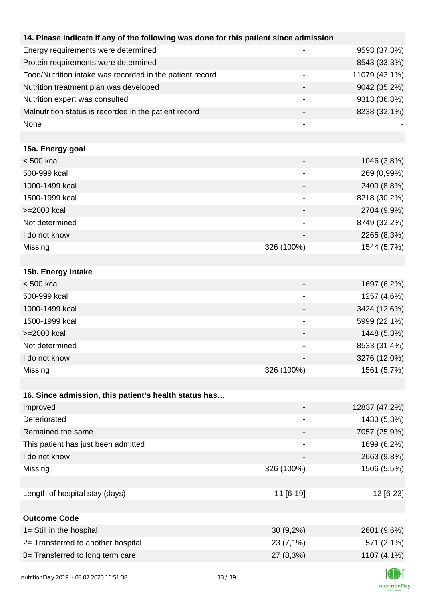| 14. Please indicate if any of the following was done for this patient since admission |                          |               |
|---------------------------------------------------------------------------------------|--------------------------|---------------|
| Energy requirements were determined                                                   |                          | 9593 (37,3%)  |
| Protein requirements were determined                                                  |                          | 8543 (33,3%)  |
| Food/Nutrition intake was recorded in the patient record                              |                          | 11079 (43,1%) |
| Nutrition treatment plan was developed                                                |                          | 9042 (35,2%)  |
| Nutrition expert was consulted                                                        |                          | 9313 (36,3%)  |
| Malnutrition status is recorded in the patient record                                 |                          | 8238 (32,1%)  |
| None                                                                                  |                          |               |
|                                                                                       |                          |               |
| 15a. Energy goal                                                                      |                          |               |
| $< 500$ kcal                                                                          |                          | 1046 (3,8%)   |
| 500-999 kcal                                                                          |                          | 269 (0,99%)   |
| 1000-1499 kcal                                                                        |                          | 2400 (8,8%)   |
| 1500-1999 kcal                                                                        | $\overline{\phantom{a}}$ | 8218 (30,2%)  |
| >=2000 kcal                                                                           |                          | 2704 (9,9%)   |
| Not determined                                                                        |                          | 8749 (32,2%)  |
| I do not know                                                                         |                          | 2265 (8,3%)   |
| Missing                                                                               | 326 (100%)               | 1544 (5,7%)   |
|                                                                                       |                          |               |
| 15b. Energy intake                                                                    |                          |               |
| < 500 kcal                                                                            |                          | 1697 (6,2%)   |
| 500-999 kcal                                                                          |                          | 1257 (4,6%)   |
| 1000-1499 kcal                                                                        |                          | 3424 (12,6%)  |
| 1500-1999 kcal                                                                        |                          | 5999 (22,1%)  |
| >=2000 kcal                                                                           |                          | 1448 (5,3%)   |
| Not determined                                                                        |                          | 8533 (31,4%)  |
| I do not know                                                                         |                          | 3276 (12,0%)  |
| Missing                                                                               | 326 (100%)               | 1561 (5,7%)   |
|                                                                                       |                          |               |
| 16. Since admission, this patient's health status has                                 |                          |               |
| Improved                                                                              |                          | 12837 (47,2%) |
| Deteriorated                                                                          |                          | 1433 (5,3%)   |
| Remained the same                                                                     |                          | 7057 (25,9%)  |
| This patient has just been admitted                                                   |                          | 1699 (6,2%)   |
| I do not know                                                                         |                          | 2663 (9,8%)   |
| Missing                                                                               | 326 (100%)               | 1506 (5,5%)   |
|                                                                                       |                          |               |
| Length of hospital stay (days)                                                        | 11 [6-19]                | 12 [6-23]     |
|                                                                                       |                          |               |
| <b>Outcome Code</b>                                                                   |                          |               |
| 1= Still in the hospital                                                              | $30(9,2\%)$              | 2601 (9,6%)   |
| 2= Transferred to another hospital                                                    | 23 (7,1%)                | 571 (2,1%)    |
| 3= Transferred to long term care                                                      | 27 (8,3%)                | 1107 (4,1%)   |
| putrition Day 2010         00         07 2020 14:51:29                                | 12/10                    |               |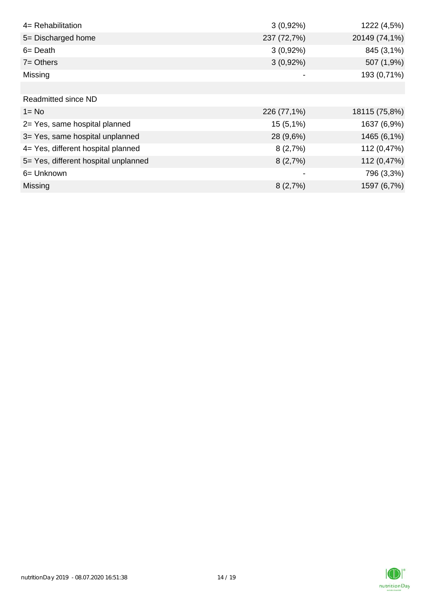| 4= Rehabilitation                    | $3(0,92\%)$ | 1222 (4,5%)   |
|--------------------------------------|-------------|---------------|
| 5= Discharged home                   | 237 (72,7%) | 20149 (74,1%) |
| $6 = Death$                          | $3(0,92\%)$ | 845 (3,1%)    |
| $7 =$ Others                         | $3(0,92\%)$ | 507 (1,9%)    |
| Missing                              |             | 193 (0,71%)   |
|                                      |             |               |
| Readmitted since ND                  |             |               |
| $1 = No$                             | 226 (77,1%) | 18115 (75,8%) |
| 2= Yes, same hospital planned        | $15(5,1\%)$ | 1637 (6,9%)   |
| 3= Yes, same hospital unplanned      | 28 (9,6%)   | 1465 (6,1%)   |
| 4= Yes, different hospital planned   | 8(2,7%)     | 112 (0,47%)   |
| 5= Yes, different hospital unplanned | 8(2,7%)     | 112 (0,47%)   |
| 6= Unknown                           |             | 796 (3,3%)    |
| Missing                              | 8(2,7%)     | 1597 (6,7%)   |

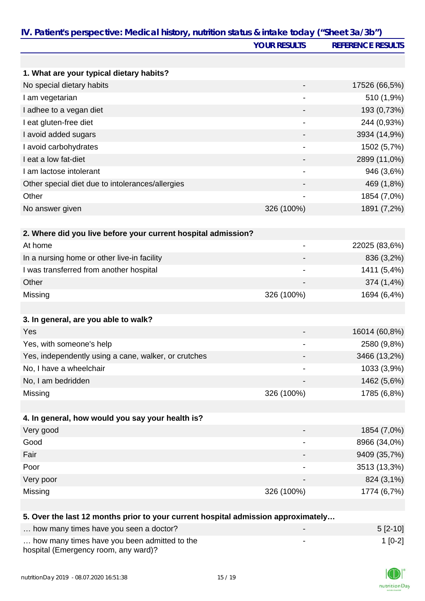|                                                                                   | <b>YOUR RESULTS</b>          | <b>REFERENCE RESULTS</b> |
|-----------------------------------------------------------------------------------|------------------------------|--------------------------|
|                                                                                   |                              |                          |
| 1. What are your typical dietary habits?                                          |                              |                          |
| No special dietary habits                                                         |                              | 17526 (66,5%)            |
| I am vegetarian                                                                   |                              | 510 (1,9%)               |
| I adhee to a vegan diet                                                           |                              | 193 (0,73%)              |
| I eat gluten-free diet                                                            |                              | 244 (0,93%)              |
| I avoid added sugars                                                              |                              | 3934 (14,9%)             |
| I avoid carbohydrates                                                             |                              | 1502 (5,7%)              |
| I eat a low fat-diet                                                              |                              | 2899 (11,0%)             |
| I am lactose intolerant                                                           |                              | 946 (3,6%)               |
| Other special diet due to intolerances/allergies                                  |                              | 469 (1,8%)               |
| Other                                                                             |                              | 1854 (7,0%)              |
| No answer given                                                                   | 326 (100%)                   | 1891 (7,2%)              |
|                                                                                   |                              |                          |
| 2. Where did you live before your current hospital admission?                     |                              |                          |
| At home                                                                           | $\qquad \qquad \blacksquare$ | 22025 (83,6%)            |
| In a nursing home or other live-in facility                                       |                              | 836 (3,2%)               |
| I was transferred from another hospital                                           | -                            | 1411 (5,4%)              |
| Other                                                                             |                              | 374 (1,4%)               |
| Missing                                                                           | 326 (100%)                   | 1694 (6,4%)              |
| 3. In general, are you able to walk?                                              |                              |                          |
| Yes                                                                               |                              | 16014 (60,8%)            |
| Yes, with someone's help                                                          |                              | 2580 (9,8%)              |
| Yes, independently using a cane, walker, or crutches                              |                              | 3466 (13,2%)             |
| No, I have a wheelchair                                                           |                              | 1033 (3,9%)              |
| No, I am bedridden                                                                |                              | 1462 (5,6%)              |
| Missing                                                                           | 326 (100%)                   | 1785 (6,8%)              |
|                                                                                   |                              |                          |
| 4. In general, how would you say your health is?                                  |                              |                          |
| Very good                                                                         |                              | 1854 (7,0%)              |
| Good                                                                              |                              | 8966 (34,0%)             |
| Fair                                                                              |                              | 9409 (35,7%)             |
| Poor                                                                              |                              | 3513 (13,3%)             |
| Very poor                                                                         |                              | 824 (3,1%)               |
| Missing                                                                           | 326 (100%)                   | 1774 (6,7%)              |
|                                                                                   |                              |                          |
| 5. Over the last 12 months prior to your current hospital admission approximately |                              |                          |
| how many times have you seen a doctor?                                            |                              | $5[2-10]$                |
| how many times have you been admitted to the                                      |                              | $1[0-2]$                 |

… how many times have you been admitted to the hospital (Emergency room, any ward)?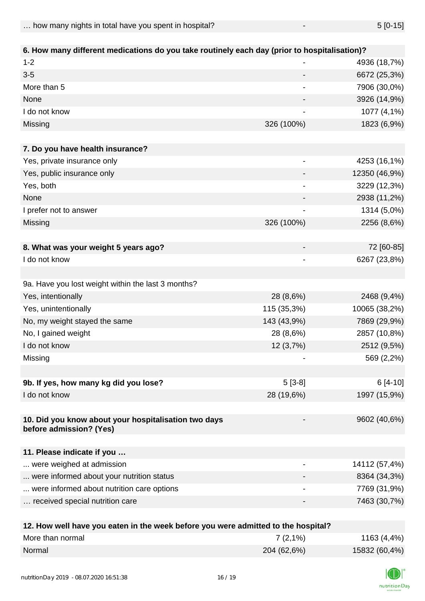| 6. How many different medications do you take routinely each day (prior to hospitalisation)? |                              |               |  |
|----------------------------------------------------------------------------------------------|------------------------------|---------------|--|
| $1 - 2$                                                                                      |                              | 4936 (18,7%)  |  |
| $3-5$                                                                                        |                              | 6672 (25,3%)  |  |
| More than 5                                                                                  | $\qquad \qquad \blacksquare$ | 7906 (30,0%)  |  |
| None                                                                                         |                              | 3926 (14,9%)  |  |
| I do not know                                                                                |                              | 1077 (4,1%)   |  |
| Missing                                                                                      | 326 (100%)                   | 1823 (6,9%)   |  |
|                                                                                              |                              |               |  |
| 7. Do you have health insurance?                                                             |                              |               |  |
| Yes, private insurance only                                                                  |                              | 4253 (16,1%)  |  |
| Yes, public insurance only                                                                   |                              | 12350 (46,9%) |  |
| Yes, both                                                                                    | $\overline{\phantom{a}}$     | 3229 (12,3%)  |  |
| None                                                                                         |                              | 2938 (11,2%)  |  |
| I prefer not to answer                                                                       | -                            | 1314 (5,0%)   |  |
| Missing                                                                                      | 326 (100%)                   | 2256 (8,6%)   |  |
|                                                                                              |                              |               |  |
| 8. What was your weight 5 years ago?                                                         |                              | 72 [60-85]    |  |
| I do not know                                                                                |                              | 6267 (23,8%)  |  |
|                                                                                              |                              |               |  |
| 9a. Have you lost weight within the last 3 months?                                           |                              |               |  |
| Yes, intentionally                                                                           | 28 (8,6%)                    | 2468 (9,4%)   |  |
| Yes, unintentionally                                                                         | 115 (35,3%)                  | 10065 (38,2%) |  |
| No, my weight stayed the same                                                                | 143 (43,9%)                  | 7869 (29,9%)  |  |
| No, I gained weight                                                                          | 28 (8,6%)                    | 2857 (10,8%)  |  |
| I do not know                                                                                | 12(3,7%)                     | 2512 (9,5%)   |  |
| Missing                                                                                      |                              | 569 (2,2%)    |  |
|                                                                                              |                              |               |  |
| 9b. If yes, how many kg did you lose?                                                        | $5[3-8]$                     | $6[4-10]$     |  |
| I do not know                                                                                | 28 (19,6%)                   | 1997 (15,9%)  |  |
|                                                                                              |                              |               |  |
| 10. Did you know about your hospitalisation two days                                         |                              | 9602 (40,6%)  |  |
| before admission? (Yes)                                                                      |                              |               |  |
|                                                                                              |                              |               |  |
| 11. Please indicate if you                                                                   |                              |               |  |
| were weighed at admission                                                                    | $\overline{\phantom{a}}$     | 14112 (57,4%) |  |
| were informed about your nutrition status                                                    |                              | 8364 (34,3%)  |  |
| were informed about nutrition care options                                                   |                              | 7769 (31,9%)  |  |
| received special nutrition care                                                              |                              | 7463 (30,7%)  |  |
|                                                                                              |                              |               |  |

| 12. How well have you eaten in the week before you were admitted to the hospital? |             |               |
|-----------------------------------------------------------------------------------|-------------|---------------|
| More than normal                                                                  | $7(2,1\%)$  | 1163 (4,4%)   |
| Normal                                                                            | 204 (62,6%) | 15832 (60,4%) |

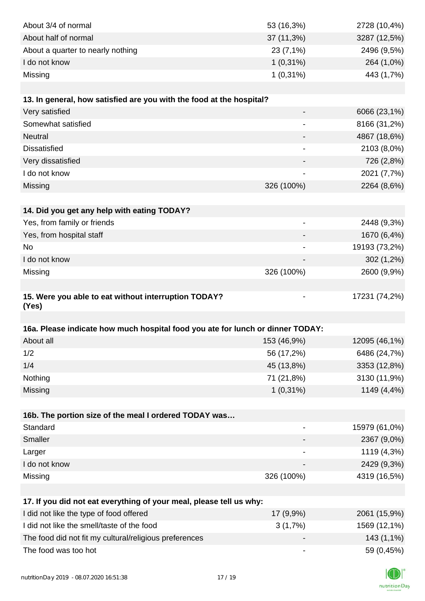| About 3/4 of normal                                                            | 53 (16,3%)                   | 2728 (10,4%)  |
|--------------------------------------------------------------------------------|------------------------------|---------------|
| About half of normal                                                           | $37(11,3\%)$                 | 3287 (12,5%)  |
| About a quarter to nearly nothing                                              | 23 (7,1%)                    | 2496 (9,5%)   |
| I do not know                                                                  | $1(0,31\%)$                  | 264 (1,0%)    |
| Missing                                                                        | $1(0,31\%)$                  | 443 (1,7%)    |
|                                                                                |                              |               |
| 13. In general, how satisfied are you with the food at the hospital?           |                              |               |
| Very satisfied                                                                 |                              | 6066 (23,1%)  |
| Somewhat satisfied                                                             |                              | 8166 (31,2%)  |
| <b>Neutral</b>                                                                 |                              | 4867 (18,6%)  |
| <b>Dissatisfied</b>                                                            | $\overline{\phantom{a}}$     | 2103 (8,0%)   |
| Very dissatisfied                                                              | $\overline{\phantom{a}}$     | 726 (2,8%)    |
| I do not know                                                                  | $\overline{\phantom{a}}$     | 2021 (7,7%)   |
| Missing                                                                        | 326 (100%)                   | 2264 (8,6%)   |
|                                                                                |                              |               |
| 14. Did you get any help with eating TODAY?                                    |                              |               |
| Yes, from family or friends                                                    |                              | 2448 (9,3%)   |
| Yes, from hospital staff                                                       |                              | 1670 (6,4%)   |
| <b>No</b>                                                                      |                              | 19193 (73,2%) |
| I do not know                                                                  |                              | 302 (1,2%)    |
| Missing                                                                        | 326 (100%)                   | 2600 (9,9%)   |
| 15. Were you able to eat without interruption TODAY?<br>(Yes)                  |                              | 17231 (74,2%) |
| 16a. Please indicate how much hospital food you ate for lunch or dinner TODAY: |                              |               |
| About all                                                                      | 153 (46,9%)                  | 12095 (46,1%) |
| 1/2                                                                            | 56 (17,2%)                   | 6486 (24,7%)  |
| 1/4                                                                            | 45 (13,8%)                   | 3353 (12,8%)  |
| Nothing                                                                        | 71 (21,8%)                   | 3130 (11,9%)  |
| Missing                                                                        | $1(0,31\%)$                  | 1149 (4,4%)   |
|                                                                                |                              |               |
| 16b. The portion size of the meal I ordered TODAY was                          |                              |               |
| Standard                                                                       | $\qquad \qquad \blacksquare$ | 15979 (61,0%) |
| Smaller                                                                        |                              | 2367 (9,0%)   |
| Larger                                                                         | $\overline{\phantom{a}}$     | 1119 (4,3%)   |
| I do not know                                                                  |                              | 2429 (9,3%)   |
| Missing                                                                        | 326 (100%)                   | 4319 (16,5%)  |
|                                                                                |                              |               |
| 17. If you did not eat everything of your meal, please tell us why:            |                              |               |
| I did not like the type of food offered                                        | 17 (9,9%)                    | 2061 (15,9%)  |
| I did not like the smell/taste of the food                                     |                              |               |
|                                                                                | 3(1,7%)                      | 1569 (12,1%)  |
| The food did not fit my cultural/religious preferences                         |                              | 143 (1,1%)    |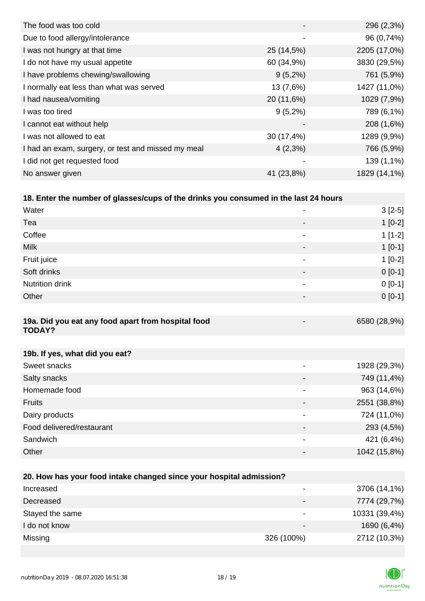|                          | 296 (2,3%)   |
|--------------------------|--------------|
| $\overline{\phantom{a}}$ | 96 (0,74%)   |
| 25 (14,5%)               | 2205 (17,0%) |
| 60 (34,9%)               | 3830 (29,5%) |
| $9(5,2\%)$               | 761 (5,9%)   |
| 13 (7,6%)                | 1427 (11,0%) |
| 20 (11,6%)               | 1029 (7,9%)  |
| $9(5,2\%)$               | 789 (6,1%)   |
| $\overline{\phantom{0}}$ | 208 (1,6%)   |
| 30 (17,4%)               | 1289 (9,9%)  |
| $4(2,3\%)$               | 766 (5,9%)   |
|                          | 139 (1,1%)   |
| 41 (23,8%)               | 1829 (14,1%) |
|                          |              |

#### **18. Enter the number of glasses/cups of the drinks you consumed in the last 24 hours**

| Water                                                               |                          | $3[2-5]$     |
|---------------------------------------------------------------------|--------------------------|--------------|
| Tea                                                                 |                          | $1[0-2]$     |
| Coffee                                                              |                          | $1[1-2]$     |
| <b>Milk</b>                                                         |                          | $1[0-1]$     |
| Fruit juice                                                         |                          | $1[0-2]$     |
| Soft drinks                                                         |                          | $0[0-1]$     |
| Nutrition drink                                                     |                          | $0[0-1]$     |
| Other                                                               |                          | $0[0-1]$     |
|                                                                     |                          |              |
| 19a. Did you eat any food apart from hospital food<br><b>TODAY?</b> |                          | 6580 (28,9%) |
|                                                                     |                          |              |
| 19b. If yes, what did you eat?                                      |                          |              |
| Sweet snacks                                                        | $\overline{\phantom{a}}$ | 1928 (29,3%) |
| Salty snacks                                                        |                          | 749 (11,4%)  |
| Homemade food                                                       |                          | 963 (14,6%)  |
| <b>Fruits</b>                                                       | -                        | 2551 (38,8%) |
| Dairy products                                                      |                          | 724 (11,0%)  |
| Food delivered/restaurant                                           |                          | 293 (4,5%)   |
| Sandwich                                                            |                          | 421 (6,4%)   |
| Other                                                               |                          | 1042 (15,8%) |
|                                                                     |                          |              |

| 20. How has your food intake changed since your hospital admission? |                          |               |  |  |
|---------------------------------------------------------------------|--------------------------|---------------|--|--|
| Increased                                                           |                          | 3706 (14,1%)  |  |  |
| Decreased                                                           |                          | 7774 (29,7%)  |  |  |
| Stayed the same                                                     |                          | 10331 (39,4%) |  |  |
| I do not know                                                       | $\overline{\phantom{0}}$ | 1690 (6,4%)   |  |  |
| Missing                                                             | 326 (100%)               | 2712 (10,3%)  |  |  |